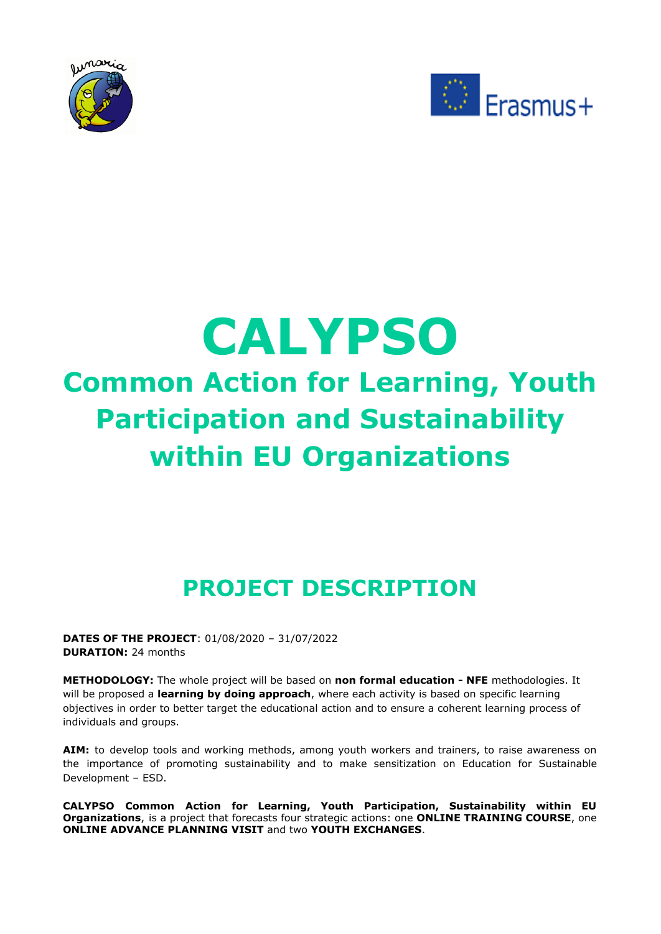



# **CALYPSO Common Action for Learning, Youth Participation and Sustainability within EU Organizations**

## **PROJECT DESCRIPTION**

**DATES OF THE PROJECT**: 01/08/2020 – 31/07/2022 **DURATION:** 24 months

**METHODOLOGY:** The whole project will be based on **non formal education - NFE** methodologies. It will be proposed a **learning by doing approach**, where each activity is based on specific learning objectives in order to better target the educational action and to ensure a coherent learning process of individuals and groups.

**AIM:** to develop tools and working methods, among youth workers and trainers, to raise awareness on the importance of promoting sustainability and to make sensitization on Education for Sustainable Development – ESD.

**CALYPSO Common Action for Learning, Youth Participation, Sustainability within EU Organizations**, is a project that forecasts four strategic actions: one **ONLINE TRAINING COURSE**, one **ONLINE ADVANCE PLANNING VISIT** and two **YOUTH EXCHANGES**.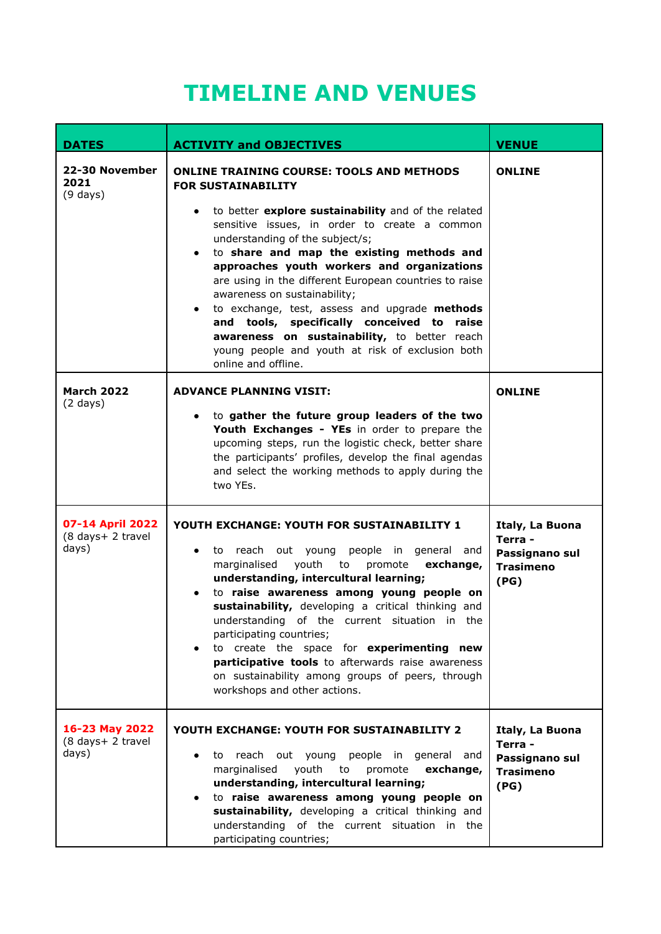## **TIMELINE AND VENUES**

| <b>DATES</b>                                   | <b>ACTIVITY and OBJECTIVES</b>                                                                                                                                                                                                                                                                                                                                                                                                                                                                                                                                                                                                          | <b>VENUE</b>                                                             |  |
|------------------------------------------------|-----------------------------------------------------------------------------------------------------------------------------------------------------------------------------------------------------------------------------------------------------------------------------------------------------------------------------------------------------------------------------------------------------------------------------------------------------------------------------------------------------------------------------------------------------------------------------------------------------------------------------------------|--------------------------------------------------------------------------|--|
| 22-30 November<br>2021<br>$(9 \text{ days})$   | <b>ONLINE TRAINING COURSE: TOOLS AND METHODS</b><br><b>FOR SUSTAINABILITY</b><br>to better explore sustainability and of the related<br>sensitive issues, in order to create a common<br>understanding of the subject/s;<br>to share and map the existing methods and<br>approaches youth workers and organizations<br>are using in the different European countries to raise<br>awareness on sustainability;<br>to exchange, test, assess and upgrade methods<br>and tools, specifically conceived to raise<br>awareness on sustainability, to better reach<br>young people and youth at risk of exclusion both<br>online and offline. | <b>ONLINE</b>                                                            |  |
| <b>March 2022</b><br>$(2 \text{ days})$        | <b>ADVANCE PLANNING VISIT:</b><br>to gather the future group leaders of the two<br>$\bullet$<br>Youth Exchanges - YEs in order to prepare the<br>upcoming steps, run the logistic check, better share<br>the participants' profiles, develop the final agendas<br>and select the working methods to apply during the<br>two YEs.                                                                                                                                                                                                                                                                                                        | <b>ONLINE</b>                                                            |  |
| 07-14 April 2022<br>(8 days+ 2 travel<br>days) | YOUTH EXCHANGE: YOUTH FOR SUSTAINABILITY 1<br>to reach out young people in general and<br>marginalised<br>youth<br>promote<br>exchange,<br>to<br>understanding, intercultural learning;<br>to raise awareness among young people on<br>sustainability, developing a critical thinking and<br>understanding of the current situation in the<br>participating countries;<br>to create the space for experimenting new<br>participative tools to afterwards raise awareness<br>on sustainability among groups of peers, through<br>workshops and other actions.                                                                            | Italy, La Buona<br>Terra -<br>Passignano sul<br><b>Trasimeno</b><br>(PG) |  |
| 16-23 May 2022<br>(8 days+ 2 travel<br>days)   | YOUTH EXCHANGE: YOUTH FOR SUSTAINABILITY 2<br>reach out young people in general and<br>to<br>marginalised<br>youth<br>promote<br>exchange,<br>to<br>understanding, intercultural learning;<br>to raise awareness among young people on<br>sustainability, developing a critical thinking and<br>understanding of the current situation in the<br>participating countries;                                                                                                                                                                                                                                                               | Italy, La Buona<br>Terra -<br>Passignano sul<br><b>Trasimeno</b><br>(PG) |  |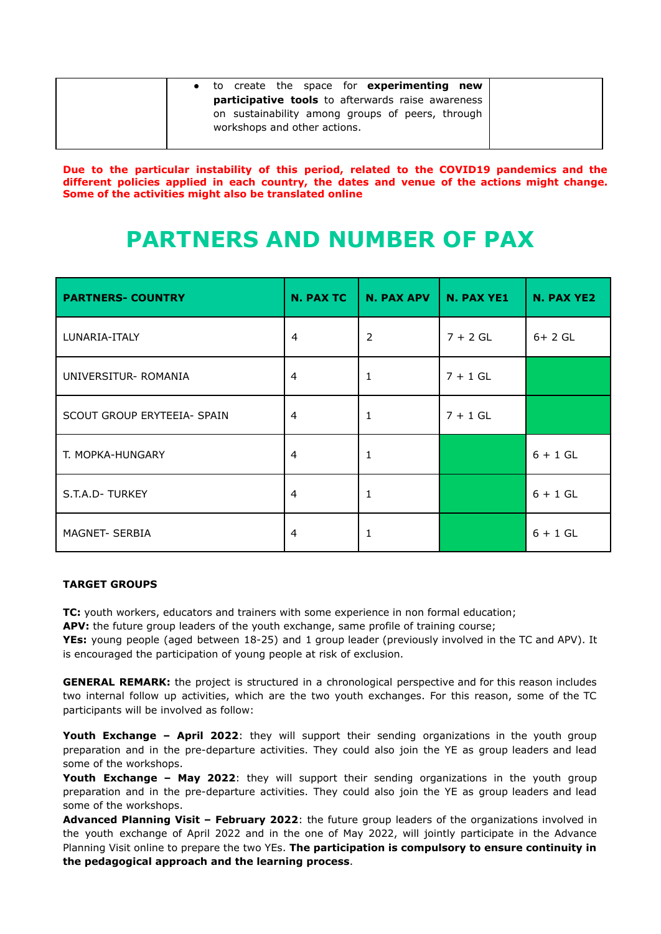|                                                   | • to create the space for <b>experimenting new</b> |  |  |  |  |
|---------------------------------------------------|----------------------------------------------------|--|--|--|--|
| participative tools to afterwards raise awareness |                                                    |  |  |  |  |
|                                                   | on sustainability among groups of peers, through   |  |  |  |  |
|                                                   | workshops and other actions.                       |  |  |  |  |
|                                                   |                                                    |  |  |  |  |

**Due to the particular instability of this period, related to the COVID19 pandemics and the different policies applied in each country, the dates and venue of the actions might change. Some of the activities might also be translated online**

### **PARTNERS AND NUMBER OF PAX**

| <b>PARTNERS- COUNTRY</b>    | <b>N. PAX TC</b> | <b>N. PAX APV</b> | N. PAX YE1 | N. PAX YE2 |
|-----------------------------|------------------|-------------------|------------|------------|
| LUNARIA-ITALY               | $\overline{4}$   | $\overline{2}$    | $7 + 2 GL$ | $6+2$ GL   |
| UNIVERSITUR-ROMANIA         | 4                |                   | $7 + 1$ GL |            |
| SCOUT GROUP ERYTEEIA- SPAIN | 4                | 1                 | $7 + 1$ GL |            |
| T. MOPKA-HUNGARY            | 4                |                   |            | $6 + 1$ GL |
| S.T.A.D-TURKEY              | $\overline{4}$   |                   |            | $6 + 1$ GL |
| MAGNET- SERBIA              | 4                |                   |            | $6 + 1$ GL |

#### **TARGET GROUPS**

**TC:** youth workers, educators and trainers with some experience in non formal education;

**APV:** the future group leaders of the youth exchange, same profile of training course;

**YEs:** young people (aged between 18-25) and 1 group leader (previously involved in the TC and APV). It is encouraged the participation of young people at risk of exclusion.

**GENERAL REMARK:** the project is structured in a chronological perspective and for this reason includes two internal follow up activities, which are the two youth exchanges. For this reason, some of the TC participants will be involved as follow:

**Youth Exchange – April 2022**: they will support their sending organizations in the youth group preparation and in the pre-departure activities. They could also join the YE as group leaders and lead some of the workshops.

**Youth Exchange – May 2022**: they will support their sending organizations in the youth group preparation and in the pre-departure activities. They could also join the YE as group leaders and lead some of the workshops.

**Advanced Planning Visit – February 2022**: the future group leaders of the organizations involved in the youth exchange of April 2022 and in the one of May 2022, will jointly participate in the Advance Planning Visit online to prepare the two YEs. **The participation is compulsory to ensure continuity in the pedagogical approach and the learning process**.